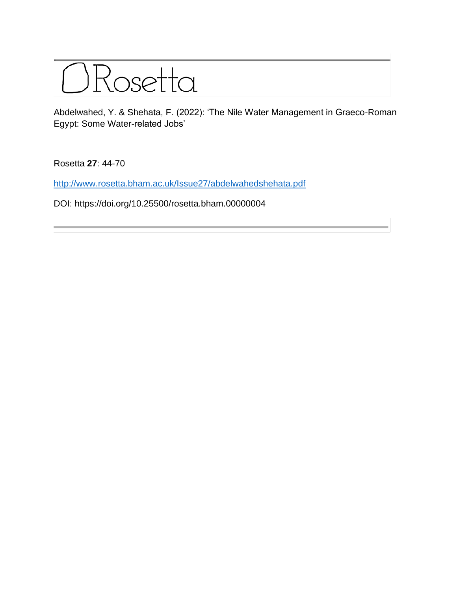

Abdelwahed, Y. & Shehata, F. (2022): 'The Nile Water Management in Graeco-Roman Egypt: Some Water-related Jobs'

Rosetta **27**: 44-70

<http://www.rosetta.bham.ac.uk/Issue27/abdelwahedshehata.pdf>

DOI: https://doi.org/10.25500/rosetta.bham.00000004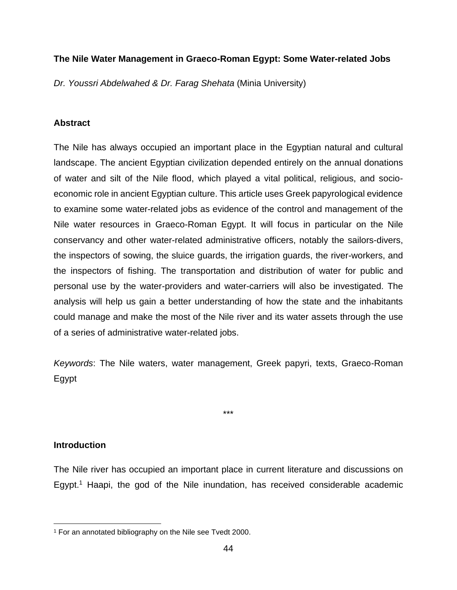# **The Nile Water Management in Graeco-Roman Egypt: Some Water-related Jobs**

*Dr. Youssri Abdelwahed & Dr. Farag Shehata* (Minia University)

# **Abstract**

The Nile has always occupied an important place in the Egyptian natural and cultural landscape. The ancient Egyptian civilization depended entirely on the annual donations of water and silt of the Nile flood, which played a vital political, religious, and socioeconomic role in ancient Egyptian culture. This article uses Greek papyrological evidence to examine some water-related jobs as evidence of the control and management of the Nile water resources in Graeco-Roman Egypt. It will focus in particular on the Nile conservancy and other water-related administrative officers, notably the sailors-divers, the inspectors of sowing, the sluice guards, the irrigation guards, the river-workers, and the inspectors of fishing. The transportation and distribution of water for public and personal use by the water-providers and water-carriers will also be investigated. The analysis will help us gain a better understanding of how the state and the inhabitants could manage and make the most of the Nile river and its water assets through the use of a series of administrative water-related jobs.

*Keywords*: The Nile waters, water management, Greek papyri, texts, Graeco-Roman Egypt

\*\*\*

#### **Introduction**

The Nile river has occupied an important place in current literature and discussions on Egypt.<sup>1</sup> Haapi, the god of the Nile inundation, has received considerable academic

<sup>1</sup> For an annotated bibliography on the Nile see Tvedt 2000.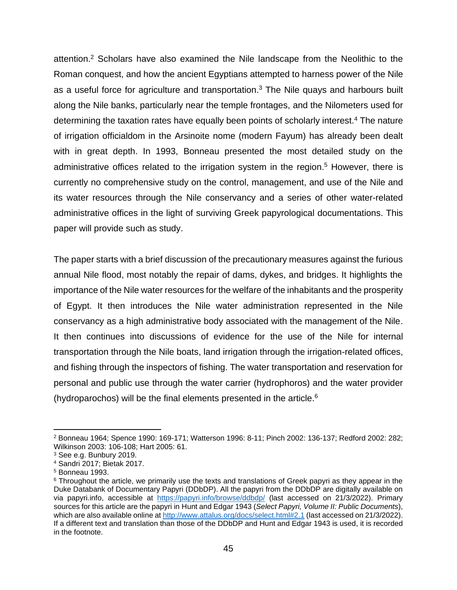attention. <sup>2</sup> Scholars have also examined the Nile landscape from the Neolithic to the Roman conquest, and how the ancient Egyptians attempted to harness power of the Nile as a useful force for agriculture and transportation. $3$  The Nile quays and harbours built along the Nile banks, particularly near the temple frontages, and the Nilometers used for determining the taxation rates have equally been points of scholarly interest.<sup>4</sup> The nature of irrigation officialdom in the Arsinoite nome (modern Fayum) has already been dealt with in great depth. In 1993, Bonneau presented the most detailed study on the administrative offices related to the irrigation system in the region. <sup>5</sup> However, there is currently no comprehensive study on the control, management, and use of the Nile and its water resources through the Nile conservancy and a series of other water-related administrative offices in the light of surviving Greek papyrological documentations. This paper will provide such as study.

The paper starts with a brief discussion of the precautionary measures against the furious annual Nile flood, most notably the repair of dams, dykes, and bridges. It highlights the importance of the Nile water resources for the welfare of the inhabitants and the prosperity of Egypt. It then introduces the Nile water administration represented in the Nile conservancy as a high administrative body associated with the management of the Nile. It then continues into discussions of evidence for the use of the Nile for internal transportation through the Nile boats, land irrigation through the irrigation-related offices, and fishing through the inspectors of fishing. The water transportation and reservation for personal and public use through the water carrier (hydrophoros) and the water provider (hydroparochos) will be the final elements presented in the article. $6$ 

<sup>2</sup> Bonneau 1964; Spence 1990: 169-171; Watterson 1996: 8-11; Pinch 2002: 136-137; Redford 2002: 282; Wilkinson 2003: 106-108; Hart 2005: 61.

<sup>3</sup> See e.g. Bunbury 2019.

<sup>4</sup> Sandri 2017; Bietak 2017.

<sup>5</sup> Bonneau 1993.

<sup>&</sup>lt;sup>6</sup> Throughout the article, we primarily use the texts and translations of Greek papyri as they appear in the Duke Databank of Documentary Papyri (DDbDP). All the papyri from the DDbDP are digitally available on via papyri.info, accessible at <https://papyri.info/browse/ddbdp/> (last accessed on 21/3/2022). Primary sources for this article are the papyri in Hunt and Edgar 1943 (*Select Papyri, Volume II: Public Documents*), which are also available online at<http://www.attalus.org/docs/select.html#2.1> (last accessed on 21/3/2022). If a different text and translation than those of the DDbDP and Hunt and Edgar 1943 is used, it is recorded in the footnote.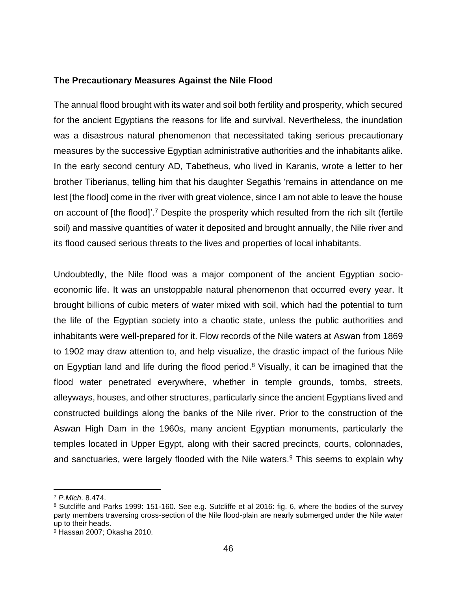#### **The Precautionary Measures Against the Nile Flood**

The annual flood brought with its water and soil both fertility and prosperity, which secured for the ancient Egyptians the reasons for life and survival. Nevertheless, the inundation was a disastrous natural phenomenon that necessitated taking serious precautionary measures by the successive Egyptian administrative authorities and the inhabitants alike. In the early second century AD, Tabetheus, who lived in Karanis, wrote a letter to her brother Tiberianus, telling him that his daughter Segathis 'remains in attendance on me lest [the flood] come in the river with great violence, since I am not able to leave the house on account of [the flood]'.<sup>7</sup> Despite the prosperity which resulted from the rich silt (fertile soil) and massive quantities of water it deposited and brought annually, the Nile river and its flood caused serious threats to the lives and properties of local inhabitants.

Undoubtedly, the Nile flood was a major component of the ancient Egyptian socioeconomic life. It was an unstoppable natural phenomenon that occurred every year. It brought billions of cubic meters of water mixed with soil, which had the potential to turn the life of the Egyptian society into a chaotic state, unless the public authorities and inhabitants were well-prepared for it. Flow records of the Nile waters at Aswan from 1869 to 1902 may draw attention to, and help visualize, the drastic impact of the furious Nile on Egyptian land and life during the flood period.<sup>8</sup> Visually, it can be imagined that the flood water penetrated everywhere, whether in temple grounds, tombs, streets, alleyways, houses, and other structures, particularly since the ancient Egyptians lived and constructed buildings along the banks of the Nile river. Prior to the construction of the Aswan High Dam in the 1960s, many ancient Egyptian monuments, particularly the temples located in Upper Egypt, along with their sacred precincts, courts, colonnades, and sanctuaries, were largely flooded with the Nile waters.<sup>9</sup> This seems to explain why

<sup>7</sup> *P.Mich*. 8.474.

<sup>8</sup> Sutcliffe and Parks 1999: 151-160. See e.g. Sutcliffe et al 2016: fig. 6, where the bodies of the survey party members traversing cross-section of the Nile flood-plain are nearly submerged under the Nile water up to their heads.

<sup>9</sup> Hassan 2007; Okasha 2010.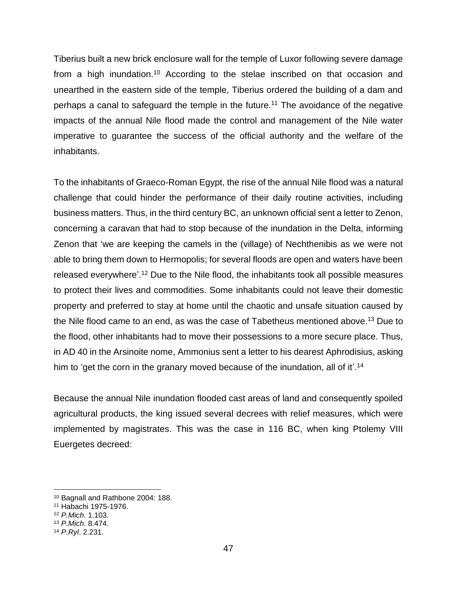Tiberius built a new brick enclosure wall for the temple of Luxor following severe damage from a high inundation.<sup>10</sup> According to the stelae inscribed on that occasion and unearthed in the eastern side of the temple, Tiberius ordered the building of a dam and perhaps a canal to safeguard the temple in the future.<sup>11</sup> The avoidance of the negative impacts of the annual Nile flood made the control and management of the Nile water imperative to guarantee the success of the official authority and the welfare of the inhabitants.

To the inhabitants of Graeco-Roman Egypt, the rise of the annual Nile flood was a natural challenge that could hinder the performance of their daily routine activities, including business matters. Thus, in the third century BC, an unknown official sent a letter to Zenon, concerning a caravan that had to stop because of the inundation in the Delta, informing Zenon that 'we are keeping the camels in the (village) of Nechthenibis as we were not able to bring them down to Hermopolis; for several floods are open and waters have been released everywhere'.<sup>12</sup> Due to the Nile flood, the inhabitants took all possible measures to protect their lives and commodities. Some inhabitants could not leave their domestic property and preferred to stay at home until the chaotic and unsafe situation caused by the Nile flood came to an end, as was the case of Tabetheus mentioned above.<sup>13</sup> Due to the flood, other inhabitants had to move their possessions to a more secure place. Thus, in AD 40 in the Arsinoite nome, Ammonius sent a letter to his dearest Aphrodisius, asking him to 'get the corn in the granary moved because of the inundation, all of it'.<sup>14</sup>

Because the annual Nile inundation flooded cast areas of land and consequently spoiled agricultural products, the king issued several decrees with relief measures, which were implemented by magistrates. This was the case in 116 BC, when king Ptolemy VIII Euergetes decreed:

<sup>10</sup> Bagnall and Rathbone 2004: 188.

<sup>11</sup> Habachi 1975-1976.

<sup>12</sup> *P.Mich*. 1.103.

<sup>13</sup> *P.Mich*. 8.474.

<sup>14</sup> *P.Ryl*. 2.231.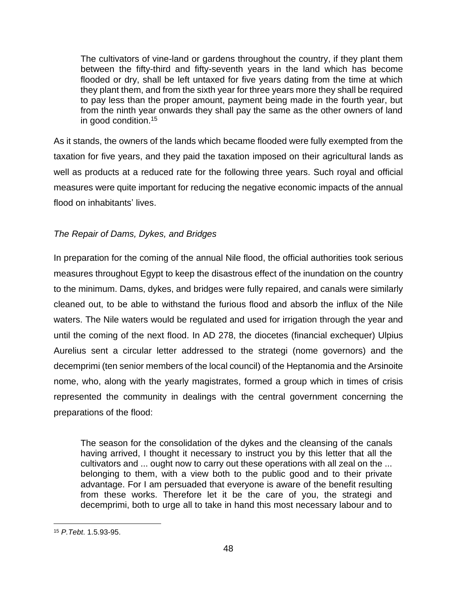The cultivators of vine-land or gardens throughout the country, if they plant them between the fifty-third and fifty-seventh years in the land which has become flooded or dry, shall be left untaxed for five years dating from the time at which they plant them, and from the sixth year for three years more they shall be required to pay less than the proper amount, payment being made in the fourth year, but from the ninth year onwards they shall pay the same as the other owners of land in good condition. 15

As it stands, the owners of the lands which became flooded were fully exempted from the taxation for five years, and they paid the taxation imposed on their agricultural lands as well as products at a reduced rate for the following three years. Such royal and official measures were quite important for reducing the negative economic impacts of the annual flood on inhabitants' lives.

# *The Repair of Dams, Dykes, and Bridges*

In preparation for the coming of the annual Nile flood, the official authorities took serious measures throughout Egypt to keep the disastrous effect of the inundation on the country to the minimum. Dams, dykes, and bridges were fully repaired, and canals were similarly cleaned out, to be able to withstand the furious flood and absorb the influx of the Nile waters. The Nile waters would be regulated and used for irrigation through the year and until the coming of the next flood. In AD 278, the diocetes (financial exchequer) Ulpius Aurelius sent a circular letter addressed to the strategi (nome governors) and the decemprimi (ten senior members of the local council) of the Heptanomia and the Arsinoite nome, who, along with the yearly magistrates, formed a group which in times of crisis represented the community in dealings with the central government concerning the preparations of the flood:

The season for the consolidation of the dykes and the cleansing of the canals having arrived, I thought it necessary to instruct you by this letter that all the cultivators and ... ought now to carry out these operations with all zeal on the ... belonging to them, with a view both to the public good and to their private advantage. For I am persuaded that everyone is aware of the benefit resulting from these works. Therefore let it be the care of you, the strategi and decemprimi, both to urge all to take in hand this most necessary labour and to

<sup>15</sup> *P.Tebt*. 1.5.93-95.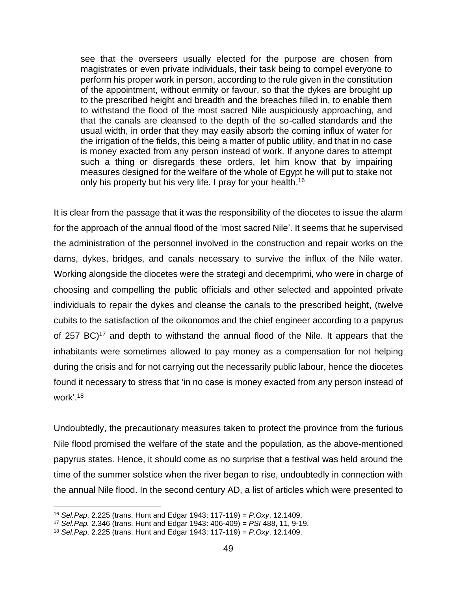see that the overseers usually elected for the purpose are chosen from magistrates or even private individuals, their task being to compel everyone to perform his proper work in person, according to the rule given in the constitution of the appointment, without enmity or favour, so that the dykes are brought up to the prescribed height and breadth and the breaches filled in, to enable them to withstand the flood of the most sacred Nile auspiciously approaching, and that the canals are cleansed to the depth of the so-called standards and the usual width, in order that they may easily absorb the coming influx of water for the irrigation of the fields, this being a matter of public utility, and that in no case is money exacted from any person instead of work. If anyone dares to attempt such a thing or disregards these orders, let him know that by impairing measures designed for the welfare of the whole of Egypt he will put to stake not only his property but his very life. I pray for your health.<sup>16</sup>

It is clear from the passage that it was the responsibility of the diocetes to issue the alarm for the approach of the annual flood of the 'most sacred Nile'. It seems that he supervised the administration of the personnel involved in the construction and repair works on the dams, dykes, bridges, and canals necessary to survive the influx of the Nile water. Working alongside the diocetes were the strategi and decemprimi, who were in charge of choosing and compelling the public officials and other selected and appointed private individuals to repair the dykes and cleanse the canals to the prescribed height, (twelve cubits to the satisfaction of the oikonomos and the chief engineer according to a papyrus of 257 BC $)^{17}$  and depth to withstand the annual flood of the Nile. It appears that the inhabitants were sometimes allowed to pay money as a compensation for not helping during the crisis and for not carrying out the necessarily public labour, hence the diocetes found it necessary to stress that 'in no case is money exacted from any person instead of work'. 18

Undoubtedly, the precautionary measures taken to protect the province from the furious Nile flood promised the welfare of the state and the population, as the above-mentioned papyrus states. Hence, it should come as no surprise that a festival was held around the time of the summer solstice when the river began to rise, undoubtedly in connection with the annual Nile flood. In the second century AD, a list of articles which were presented to

<sup>16</sup> *Sel.Pap*. 2.225 (trans. Hunt and Edgar 1943: 117-119) = *P.Oxy*. 12.1409.

<sup>17</sup> *Sel.Pap.* 2.346 (trans. Hunt and Edgar 1943: 406-409) = *PSI* 488, 11, 9-19.

<sup>18</sup> *Sel.Pap*. 2.225 (trans. Hunt and Edgar 1943: 117-119) = *P.Oxy*. 12.1409.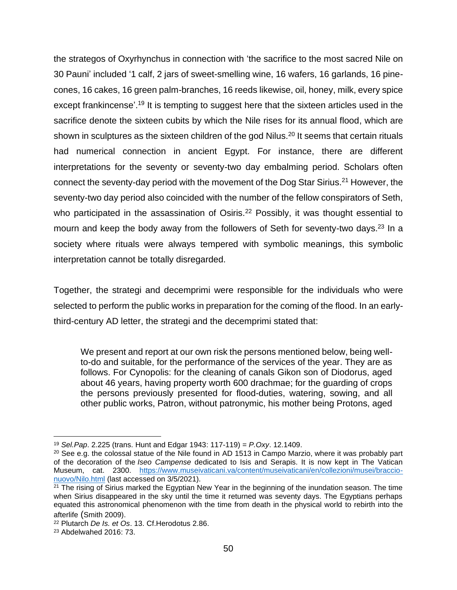the strategos of Oxyrhynchus in connection with 'the sacrifice to the most sacred Nile on 30 Pauni' included '1 calf, 2 jars of sweet-smelling wine, 16 wafers, 16 garlands, 16 pinecones, 16 cakes, 16 green palm-branches, 16 reeds likewise, oil, honey, milk, every spice except frankincense'.<sup>19</sup> It is tempting to suggest here that the sixteen articles used in the sacrifice denote the sixteen cubits by which the Nile rises for its annual flood, which are shown in sculptures as the sixteen children of the god Nilus.<sup>20</sup> It seems that certain rituals had numerical connection in ancient Egypt. For instance, there are different interpretations for the seventy or seventy-two day embalming period. Scholars often connect the seventy-day period with the movement of the Dog Star Sirius.<sup>21</sup> However, the seventy-two day period also coincided with the number of the fellow conspirators of Seth, who participated in the assassination of Osiris.<sup>22</sup> Possibly, it was thought essential to mourn and keep the body away from the followers of Seth for seventy-two days.<sup>23</sup> In a society where rituals were always tempered with symbolic meanings, this symbolic interpretation cannot be totally disregarded.

Together, the strategi and decemprimi were responsible for the individuals who were selected to perform the public works in preparation for the coming of the flood. In an earlythird-century AD letter, the strategi and the decemprimi stated that:

We present and report at our own risk the persons mentioned below, being wellto-do and suitable, for the performance of the services of the year. They are as follows. For Cynopolis: for the cleaning of canals Gikon son of Diodorus, aged about 46 years, having property worth 600 drachmae; for the guarding of crops the persons previously presented for flood-duties, watering, sowing, and all other public works, Patron, without patronymic, his mother being Protons, aged

<sup>19</sup> *Sel.Pap*. 2.225 (trans. Hunt and Edgar 1943: 117-119) = *P.Oxy*. 12.1409.

 $20$  See e.g. the colossal statue of the Nile found in AD 1513 in Campo Marzio, where it was probably part of the decoration of the *Iseo Campense* dedicated to Isis and Serapis. It is now kept in The Vatican Museum, cat. 2300. [https://www.museivaticani.va/content/museivaticani/en/collezioni/musei/braccio](https://www.museivaticani.va/content/museivaticani/en/collezioni/musei/braccio-nuovo/Nilo.html)[nuovo/Nilo.html](https://www.museivaticani.va/content/museivaticani/en/collezioni/musei/braccio-nuovo/Nilo.html) (last accessed on 3/5/2021).

 $21$  The rising of Sirius marked the Egyptian New Year in the beginning of the inundation season. The time when Sirius disappeared in the sky until the time it returned was seventy days. The Egyptians perhaps equated this astronomical phenomenon with the time from death in the physical world to rebirth into the afterlife (Smith 2009).

<sup>22</sup> Plutarch *De Is. et Os*. 13. Cf.Herodotus 2.86.

<sup>23</sup> Abdelwahed 2016: 73.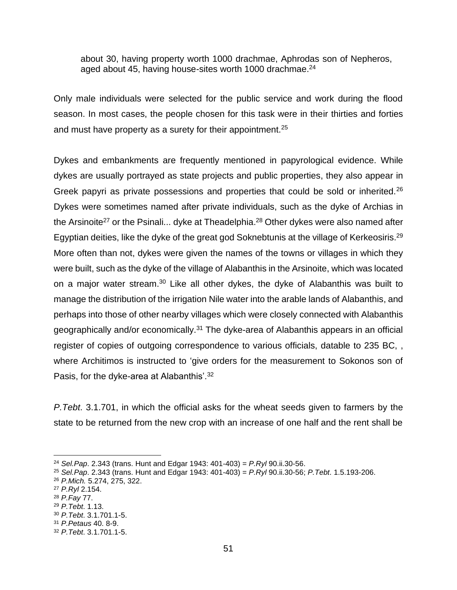about 30, having property worth 1000 drachmae, Aphrodas son of Nepheros, aged about 45, having house-sites worth 1000 drachmae.<sup>24</sup>

Only male individuals were selected for the public service and work during the flood season. In most cases, the people chosen for this task were in their thirties and forties and must have property as a surety for their appointment.<sup>25</sup>

Dykes and embankments are frequently mentioned in papyrological evidence. While dykes are usually portrayed as state projects and public properties, they also appear in Greek papyri as private possessions and properties that could be sold or inherited.<sup>26</sup> Dykes were sometimes named after private individuals, such as the dyke of Archias in the Arsinoite<sup>27</sup> or the Psinali... dyke at Theadelphia.<sup>28</sup> Other dykes were also named after Egyptian deities, like the dyke of the great god Soknebtunis at the village of Kerkeosiris.<sup>29</sup> More often than not, dykes were given the names of the towns or villages in which they were built, such as the dyke of the village of Alabanthis in the Arsinoite, which was located on a major water stream.<sup>30</sup> Like all other dykes, the dyke of Alabanthis was built to manage the distribution of the irrigation Nile water into the arable lands of Alabanthis, and perhaps into those of other nearby villages which were closely connected with Alabanthis geographically and/or economically.<sup>31</sup> The dyke-area of Alabanthis appears in an official register of copies of outgoing correspondence to various officials, datable to 235 BC, , where Architimos is instructed to 'give orders for the measurement to Sokonos son of Pasis, for the dyke-area at Alabanthis'.<sup>32</sup>

*P.Tebt*. 3.1.701, in which the official asks for the wheat seeds given to farmers by the state to be returned from the new crop with an increase of one half and the rent shall be

<sup>24</sup> *Sel.Pap*. 2.343 (trans. Hunt and Edgar 1943: 401-403) = *P.Ryl* 90.ii.30-56.

<sup>25</sup> *Sel.Pap*. 2.343 (trans. Hunt and Edgar 1943: 401-403) = *P.Ryl* 90.ii.30-56; *P.Tebt*. 1.5.193-206.

<sup>26</sup> *P.Mich.* 5.274, 275, 322.

<sup>27</sup> *P.Ryl* 2.154.

<sup>28</sup> *P.Fay* 77.

<sup>29</sup> *P.Tebt*. 1.13.

<sup>30</sup> *P.Tebt*. 3.1.701.1-5.

<sup>31</sup> *[P.Petaus](https://www.trismegistos.org/tm/detail.php?tm=8826)* 40. 8-9.

<sup>32</sup> *P.Tebt*. 3.1.701.1-5.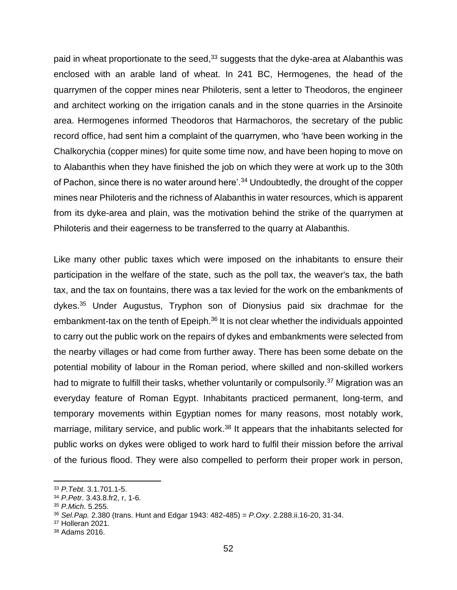paid in wheat proportionate to the seed,<sup>33</sup> suggests that the dyke-area at Alabanthis was enclosed with an arable land of wheat. In 241 BC, Hermogenes, the head of the quarrymen of the copper mines near Philoteris, sent a letter to Theodoros, the engineer and architect working on the irrigation canals and in the stone quarries in the Arsinoite area. Hermogenes informed Theodoros that Harmachoros, the secretary of the public record office, had sent him a complaint of the quarrymen, who 'have been working in the Chalkorychia (copper mines) for quite some time now, and have been hoping to move on to Alabanthis when they have finished the job on which they were at work up to the 30th of Pachon, since there is no water around here'.<sup>34</sup> Undoubtedly, the drought of the copper mines near Philoteris and the richness of Alabanthis in water resources, which is apparent from its dyke-area and plain, was the motivation behind the strike of the quarrymen at Philoteris and their eagerness to be transferred to the quarry at Alabanthis.

Like many other public taxes which were imposed on the inhabitants to ensure their participation in the welfare of the state, such as the poll tax, the weaver's tax, the bath tax, and the tax on fountains, there was a tax levied for the work on the embankments of dykes.<sup>35</sup> Under Augustus, Tryphon son of Dionysius paid six drachmae for the embankment-tax on the tenth of Epeiph. $36$  It is not clear whether the individuals appointed to carry out the public work on the repairs of dykes and embankments were selected from the nearby villages or had come from further away. There has been some debate on the potential mobility of labour in the Roman period, where skilled and non-skilled workers had to migrate to fulfill their tasks, whether voluntarily or compulsorily.<sup>37</sup> Migration was an everyday feature of Roman Egypt. Inhabitants practiced permanent, long-term, and temporary movements within Egyptian nomes for many reasons, most notably work, marriage, military service, and public work.<sup>38</sup> It appears that the inhabitants selected for public works on dykes were obliged to work hard to fulfil their mission before the arrival of the furious flood. They were also compelled to perform their proper work in person,

<sup>33</sup> *P.Tebt*. 3.1.701.1-5.

<sup>34</sup> *P.Petr*. 3.43.8.fr2, r, 1-6.

<sup>35</sup> *P.Mich*. 5.255.

<sup>36</sup> *Sel.Pap.* 2.380 (trans. Hunt and Edgar 1943: 482-485) = *P.Oxy*. 2.288.ii.16-20, 31-34.

<sup>37</sup> Holleran 2021.

<sup>38</sup> Adams 2016.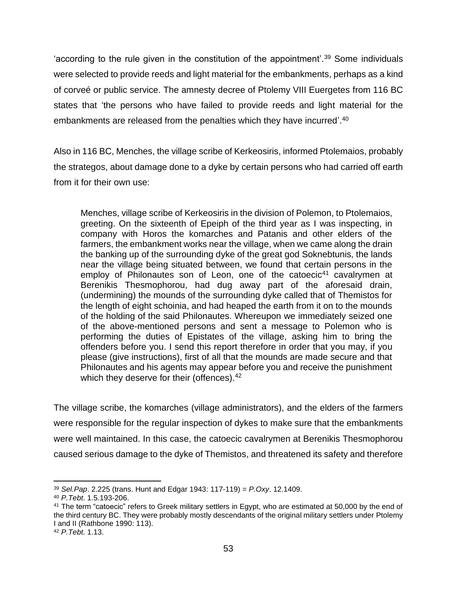'according to the rule given in the constitution of the appointment'.<sup>39</sup> Some individuals were selected to provide reeds and light material for the embankments, perhaps as a kind of corveé or public service. The amnesty decree of Ptolemy VIII Euergetes from 116 BC states that 'the persons who have failed to provide reeds and light material for the embankments are released from the penalties which they have incurred'.<sup>40</sup>

Also in 116 BC, Menches, the village scribe of Kerkeosiris, informed Ptolemaios, probably the strategos, about damage done to a dyke by certain persons who had carried off earth from it for their own use:

Menches, village scribe of Kerkeosiris in the division of Polemon, to Ptolemaios, greeting. On the sixteenth of Epeiph of the third year as I was inspecting, in company with Horos the komarches and Patanis and other elders of the farmers, the embankment works near the village, when we came along the drain the banking up of the surrounding dyke of the great god Soknebtunis, the lands near the village being situated between, we found that certain persons in the employ of Philonautes son of Leon, one of the catoecic<sup>41</sup> cavalrymen at Berenikis Thesmophorou, had dug away part of the aforesaid drain, (undermining) the mounds of the surrounding dyke called that of Themistos for the length of eight schoinia, and had heaped the earth from it on to the mounds of the holding of the said Philonautes. Whereupon we immediately seized one of the above-mentioned persons and sent a message to Polemon who is performing the duties of Epistates of the village, asking him to bring the offenders before you. I send this report therefore in order that you may, if you please (give instructions), first of all that the mounds are made secure and that Philonautes and his agents may appear before you and receive the punishment which they deserve for their (offences).<sup>42</sup>

The village scribe, the komarches (village administrators), and the elders of the farmers were responsible for the regular inspection of dykes to make sure that the embankments were well maintained. In this case, the catoecic cavalrymen at Berenikis Thesmophorou caused serious damage to the dyke of Themistos, and threatened its safety and therefore

<sup>39</sup> *Sel.Pap*. 2.225 (trans. Hunt and Edgar 1943: 117-119) = *P.Oxy*. 12.1409.

<sup>40</sup> *P.Tebt*. 1.5.193-206.

<sup>&</sup>lt;sup>41</sup> The term "catoecic" refers to Greek military settlers in Egypt, who are estimated at 50,000 by the end of the third century BC. They were probably mostly descendants of the original military settlers under Ptolemy I and II (Rathbone 1990: 113).

<sup>42</sup> *P.Tebt*. 1.13.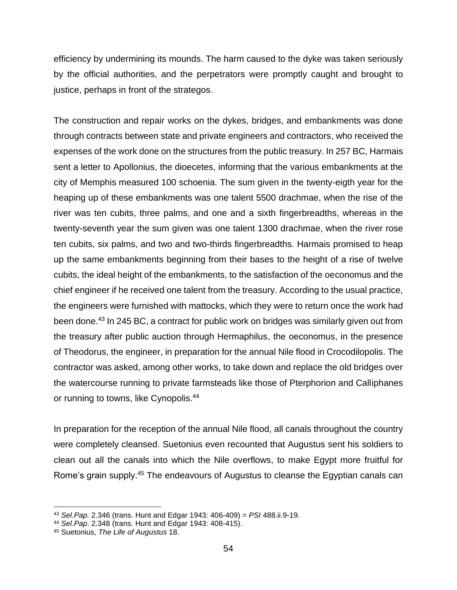efficiency by undermining its mounds. The harm caused to the dyke was taken seriously by the official authorities, and the perpetrators were promptly caught and brought to justice, perhaps in front of the strategos.

The construction and repair works on the dykes, bridges, and embankments was done through contracts between state and private engineers and contractors, who received the expenses of the work done on the structures from the public treasury. In 257 BC, Harmais sent a letter to Apollonius, the dioecetes, informing that the various embankments at the city of Memphis measured 100 schoenia. The sum given in the twenty-eigth year for the heaping up of these embankments was one talent 5500 drachmae, when the rise of the river was ten cubits, three palms, and one and a sixth fingerbreadths, whereas in the twenty-seventh year the sum given was one talent 1300 drachmae, when the river rose ten cubits, six palms, and two and two-thirds fingerbreadths. Harmais promised to heap up the same embankments beginning from their bases to the height of a rise of twelve cubits, the ideal height of the embankments, to the satisfaction of the oeconomus and the chief engineer if he received one talent from the treasury. According to the usual practice, the engineers were furnished with mattocks, which they were to return once the work had been done.<sup>43</sup> In 245 BC, a contract for public work on bridges was similarly given out from the treasury after public auction through Hermaphilus, the oeconomus, in the presence of Theodorus, the engineer, in preparation for the annual Nile flood in Crocodilopolis. The contractor was asked, among other works, to take down and replace the old bridges over the watercourse running to private farmsteads like those of Pterphorion and Calliphanes or running to towns, like Cynopolis.<sup>44</sup>

In preparation for the reception of the annual Nile flood, all canals throughout the country were completely cleansed. Suetonius even recounted that Augustus sent his soldiers to clean out all the canals into which the Nile overflows, to make Egypt more fruitful for Rome's grain supply.<sup>45</sup> The endeavours of Augustus to cleanse the Egyptian canals can

<sup>43</sup> *Sel.Pap.* 2.346 (trans. Hunt and Edgar 1943: 406-409) = *PSI* 488.ii.9-19.

<sup>44</sup> *Sel.Pap*. 2.348 (trans. Hunt and Edgar 1943: 408-415).

<sup>45</sup> Suetonius, *The Life of Augustus* 18.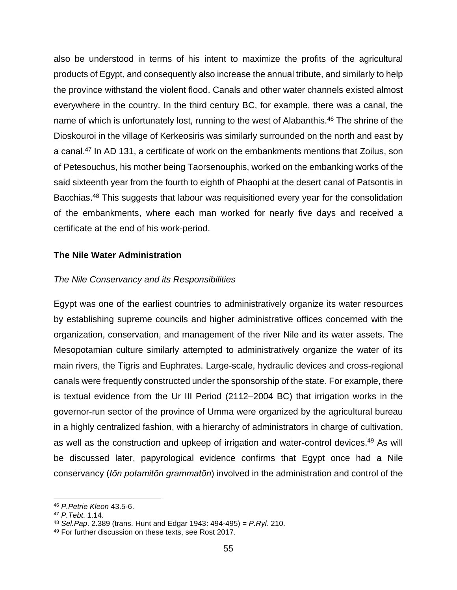also be understood in terms of his intent to maximize the profits of the agricultural products of Egypt, and consequently also increase the annual tribute, and similarly to help the province withstand the violent flood. Canals and other water channels existed almost everywhere in the country. In the third century BC, for example, there was a canal, the name of which is unfortunately lost, running to the west of Alabanthis.<sup>46</sup> The shrine of the Dioskouroi in the village of Kerkeosiris was similarly surrounded on the north and east by a canal. <sup>47</sup> In AD 131, a certificate of work on the embankments mentions that Zoilus, son of Petesouchus, his mother being Taorsenouphis, worked on the embanking works of the said sixteenth year from the fourth to eighth of Phaophi at the desert canal of Patsontis in Bacchias.<sup>48</sup> This suggests that labour was requisitioned every year for the consolidation of the embankments, where each man worked for nearly five days and received a certificate at the end of his work-period.

# **The Nile Water Administration**

# *The Nile Conservancy and its Responsibilities*

Egypt was one of the earliest countries to administratively organize its water resources by establishing supreme councils and higher administrative offices concerned with the organization, conservation, and management of the river Nile and its water assets. The Mesopotamian culture similarly attempted to administratively organize the water of its main rivers, the Tigris and Euphrates. Large-scale, hydraulic devices and cross-regional canals were frequently constructed under the sponsorship of the state. For example, there is textual evidence from the Ur III Period (2112–2004 BC) that irrigation works in the governor-run sector of the province of Umma were organized by the agricultural bureau in a highly centralized fashion, with a hierarchy of administrators in charge of cultivation, as well as the construction and upkeep of irrigation and water-control devices.<sup>49</sup> As will be discussed later, papyrological evidence confirms that Egypt once had a Nile conservancy (*tōn potamitōn grammatōn*) involved in the administration and control of the

<sup>46</sup> *[P.Petrie Kleon](https://www.trismegistos.org/tm/detail.php?tm=7702)* 43.5-6.

<sup>47</sup> *P.Tebt*. 1.14.

<sup>48</sup> *Sel.Pap*. 2.389 (trans. Hunt and Edgar 1943: 494-495) = *P.Ryl.* 210.

<sup>49</sup> For further discussion on these texts, see Rost 2017.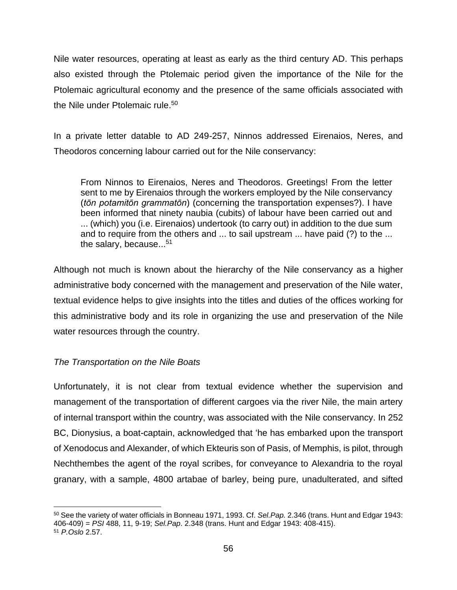Nile water resources, operating at least as early as the third century AD. This perhaps also existed through the Ptolemaic period given the importance of the Nile for the Ptolemaic agricultural economy and the presence of the same officials associated with the Nile under Ptolemaic rule.<sup>50</sup>

In a private letter datable to AD 249-257, Ninnos addressed Eirenaios, Neres, and Theodoros concerning labour carried out for the Nile conservancy:

From Ninnos to Eirenaios, Neres and Theodoros. Greetings! From the letter sent to me by Eirenaios through the workers employed by the Nile conservancy (*tōn potamitōn grammatōn*) (concerning the transportation expenses?). I have been informed that ninety naubia (cubits) of labour have been carried out and ... (which) you (i.e. Eirenaios) undertook (to carry out) in addition to the due sum and to require from the others and ... to sail upstream ... have paid (?) to the ... the salary, because...<sup>51</sup>

Although not much is known about the hierarchy of the Nile conservancy as a higher administrative body concerned with the management and preservation of the Nile water, textual evidence helps to give insights into the titles and duties of the offices working for this administrative body and its role in organizing the use and preservation of the Nile water resources through the country.

# *The Transportation on the Nile Boats*

Unfortunately, it is not clear from textual evidence whether the supervision and management of the transportation of different cargoes via the river Nile, the main artery of internal transport within the country, was associated with the Nile conservancy. In 252 BC, Dionysius, a boat-captain, acknowledged that 'he has embarked upon the transport of Xenodocus and Alexander, of which Ekteuris son of Pasis, of Memphis, is pilot, through Nechthembes the agent of the royal scribes, for conveyance to Alexandria to the royal granary, with a sample, 4800 artabae of barley, being pure, unadulterated, and sifted

<sup>50</sup> See the variety of water officials in Bonneau 1971, 1993. Cf. *Sel.Pap.* 2.346 (trans. Hunt and Edgar 1943: 406-409) = *PSI* 488, 11, 9-19; *Sel.Pap*. 2.348 (trans. Hunt and Edgar 1943: 408-415). <sup>51</sup> *P.Oslo* 2.57.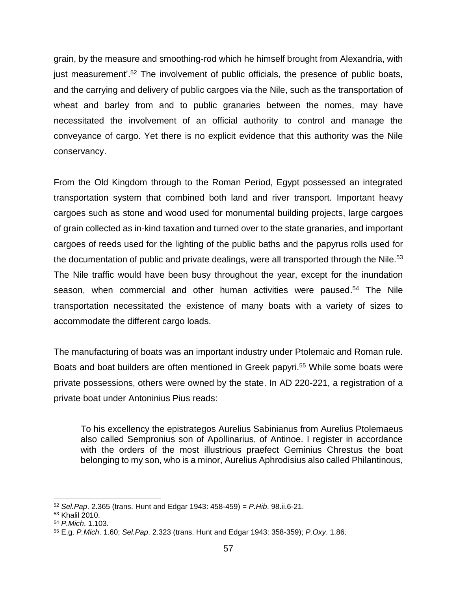grain, by the measure and smoothing-rod which he himself brought from Alexandria, with just measurement<sup>'.52</sup> The involvement of public officials, the presence of public boats, and the carrying and delivery of public cargoes via the Nile, such as the transportation of wheat and barley from and to public granaries between the nomes, may have necessitated the involvement of an official authority to control and manage the conveyance of cargo. Yet there is no explicit evidence that this authority was the Nile conservancy.

From the Old Kingdom through to the Roman Period, Egypt possessed an integrated transportation system that combined both land and river transport. Important heavy cargoes such as stone and wood used for monumental building projects, large cargoes of grain collected as in-kind taxation and turned over to the state granaries, and important cargoes of reeds used for the lighting of the public baths and the papyrus rolls used for the documentation of public and private dealings, were all transported through the Nile.<sup>53</sup> The Nile traffic would have been busy throughout the year, except for the inundation season, when commercial and other human activities were paused.<sup>54</sup> The Nile transportation necessitated the existence of many boats with a variety of sizes to accommodate the different cargo loads.

The manufacturing of boats was an important industry under Ptolemaic and Roman rule. Boats and boat builders are often mentioned in Greek papyri.<sup>55</sup> While some boats were private possessions, others were owned by the state. In AD 220-221, a registration of a private boat under Antoninius Pius reads:

To his excellency the epistrategos Aurelius Sabinianus from Aurelius Ptolemaeus also called Sempronius son of Apollinarius, of Antinoe. I register in accordance with the orders of the most illustrious praefect Geminius Chrestus the boat belonging to my son, who is a minor, Aurelius Aphrodisius also called Philantinous,

<sup>52</sup> *Sel.Pap*. 2.365 (trans. Hunt and Edgar 1943: 458-459) = *P.Hib*. 98.ii.6-21.

<sup>53</sup> Khalil 2010.

<sup>54</sup> *P.Mich*. 1.103.

<sup>55</sup> E.g. *P.Mich*. 1.60; *Sel.Pap*. 2.323 (trans. Hunt and Edgar 1943: 358-359); *P.Oxy*. 1.86.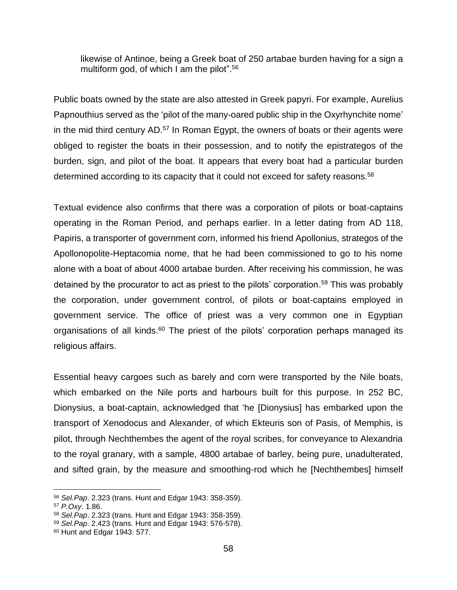likewise of Antinoe, being a Greek boat of 250 artabae burden having for a sign a multiform god, of which I am the pilot".<sup>56</sup>

Public boats owned by the state are also attested in Greek papyri. For example, Aurelius Papnouthius served as the 'pilot of the many-oared public ship in the Oxyrhynchite nome' in the mid third century AD.<sup>57</sup> In Roman Egypt, the owners of boats or their agents were obliged to register the boats in their possession, and to notify the epistrategos of the burden, sign, and pilot of the boat. It appears that every boat had a particular burden determined according to its capacity that it could not exceed for safety reasons.<sup>58</sup>

Textual evidence also confirms that there was a corporation of pilots or boat-captains operating in the Roman Period, and perhaps earlier. In a letter dating from AD 118, Papiris, a transporter of government corn, informed his friend Apollonius, strategos of the Apollonopolite-Heptacomia nome, that he had been commissioned to go to his nome alone with a boat of about 4000 artabae burden. After receiving his commission, he was detained by the procurator to act as priest to the pilots' corporation. <sup>59</sup> This was probably the corporation, under government control, of pilots or boat-captains employed in government service. The office of priest was a very common one in Egyptian organisations of all kinds.<sup>60</sup> The priest of the pilots' corporation perhaps managed its religious affairs.

Essential heavy cargoes such as barely and corn were transported by the Nile boats, which embarked on the Nile ports and harbours built for this purpose. In 252 BC, Dionysius, a boat-captain, acknowledged that 'he [Dionysius] has embarked upon the transport of Xenodocus and Alexander, of which Ekteuris son of Pasis, of Memphis, is pilot, through Nechthembes the agent of the royal scribes, for conveyance to Alexandria to the royal granary, with a sample, 4800 artabae of barley, being pure, unadulterated, and sifted grain, by the measure and smoothing-rod which he [Nechthembes] himself

<sup>56</sup> *Sel.Pap*. 2.323 (trans. Hunt and Edgar 1943: 358-359).

<sup>57</sup> *P.Oxy*. 1.86.

<sup>58</sup> *Sel.Pap*. 2.323 (trans. Hunt and Edgar 1943: 358-359).

<sup>59</sup> *Sel.Pap*. 2.423 (trans. Hunt and Edgar 1943: 576-578).

<sup>60</sup> Hunt and Edgar 1943: 577.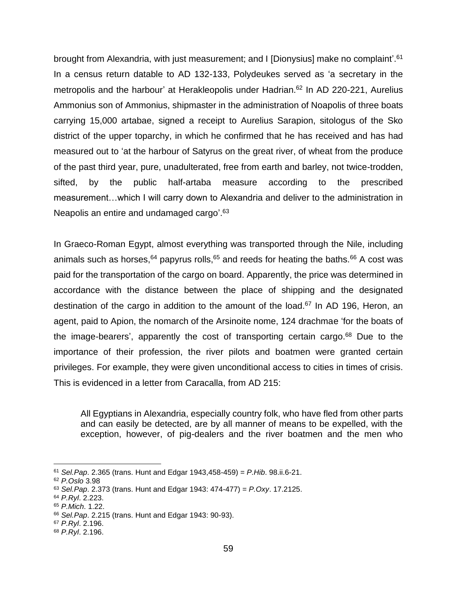brought from Alexandria, with just measurement; and I [Dionysius] make no complaint'.<sup>61</sup> In a census return datable to AD 132-133, Polydeukes served as 'a secretary in the metropolis and the harbour' at Herakleopolis under Hadrian. <sup>62</sup> In AD 220-221, Aurelius Ammonius son of Ammonius, shipmaster in the administration of Noapolis of three boats carrying 15,000 artabae, signed a receipt to Aurelius Sarapion, sitologus of the Sko district of the upper toparchy, in which he confirmed that he has received and has had measured out to 'at the harbour of Satyrus on the great river, of wheat from the produce of the past third year, pure, unadulterated, free from earth and barley, not twice-trodden, sifted, by the public half-artaba measure according to the prescribed measurement…which I will carry down to Alexandria and deliver to the administration in Neapolis an entire and undamaged cargo'.<sup>63</sup>

In Graeco-Roman Egypt, almost everything was transported through the Nile, including animals such as horses,  $64$  papyrus rolls,  $65$  and reeds for heating the baths.  $66$  A cost was paid for the transportation of the cargo on board. Apparently, the price was determined in accordance with the distance between the place of shipping and the designated destination of the cargo in addition to the amount of the load.<sup>67</sup> In AD 196, Heron, an agent, paid to Apion, the nomarch of the Arsinoite nome, 124 drachmae 'for the boats of the image-bearers', apparently the cost of transporting certain cargo.<sup>68</sup> Due to the importance of their profession, the river pilots and boatmen were granted certain privileges. For example, they were given unconditional access to cities in times of crisis. This is evidenced in a letter from Caracalla, from AD 215:

All Egyptians in Alexandria, especially country folk, who have fled from other parts and can easily be detected, are by all manner of means to be expelled, with the exception, however, of pig-dealers and the river boatmen and the men who

<sup>61</sup> *Sel.Pap*. 2.365 (trans. Hunt and Edgar 1943,458-459) = *P.Hib*. 98.ii.6-21.

<sup>62</sup> *P.Oslo* 3.98

<sup>63</sup> *Sel.Pap*. 2.373 (trans. Hunt and Edgar 1943: 474-477) = *P.Oxy*. 17.2125.

<sup>64</sup> *P.Ryl*. 2.223.

<sup>65</sup> *P.Mich*. 1.22.

<sup>66</sup> *Sel.Pap*. 2.215 (trans. Hunt and Edgar 1943: 90-93).

<sup>67</sup> *P.Ryl*. 2.196.

<sup>68</sup> *P.Ryl*. 2.196.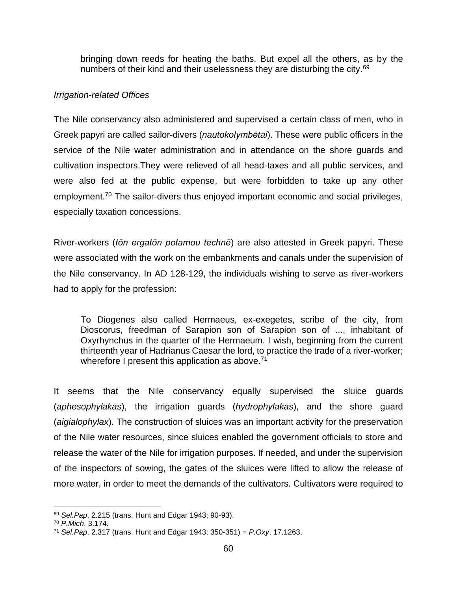bringing down reeds for heating the baths. But expel all the others, as by the numbers of their kind and their uselessness they are disturbing the city.<sup>69</sup>

#### *Irrigation-related Offices*

The Nile conservancy also administered and supervised a certain class of men, who in Greek papyri are called sailor-divers (*nautokolymbētai*). These were public officers in the service of the Nile water administration and in attendance on the shore guards and cultivation inspectors.They were relieved of all head-taxes and all public services, and were also fed at the public expense, but were forbidden to take up any other employment.<sup>70</sup> The sailor-divers thus enjoyed important economic and social privileges, especially taxation concessions.

River-workers (*tōn ergatōn potamou technē*) are also attested in Greek papyri. These were associated with the work on the embankments and canals under the supervision of the Nile conservancy. In AD 128-129, the individuals wishing to serve as river-workers had to apply for the profession:

To Diogenes also called Hermaeus, ex-exegetes, scribe of the city, from Dioscorus, freedman of Sarapion son of Sarapion son of ..., inhabitant of Oxyrhynchus in the quarter of the Hermaeum. I wish, beginning from the current thirteenth year of Hadrianus Caesar the lord, to practice the trade of a river-worker; wherefore I present this application as above.<sup>71</sup>

It seems that the Nile conservancy equally supervised the sluice guards (*aphesophylakas*), the irrigation guards (*hydrophylakas*), and the shore guard (*aigialophylax*). The construction of sluices was an important activity for the preservation of the Nile water resources, since sluices enabled the government officials to store and release the water of the Nile for irrigation purposes. If needed, and under the supervision of the inspectors of sowing, the gates of the sluices were lifted to allow the release of more water, in order to meet the demands of the cultivators. Cultivators were required to

<sup>69</sup> *Sel.Pap*. 2.215 (trans. Hunt and Edgar 1943: 90-93).

<sup>70</sup> *P.Mich*. 3.174.

<sup>71</sup> *Sel.Pap*. 2.317 (trans. Hunt and Edgar 1943: 350-351) = *P.Oxy*. 17.1263.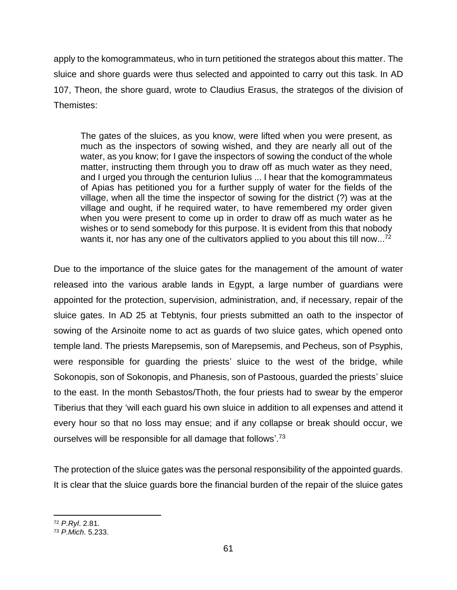apply to the komogrammateus, who in turn petitioned the strategos about this matter. The sluice and shore guards were thus selected and appointed to carry out this task. In AD 107, Theon, the shore guard, wrote to Claudius Erasus, the strategos of the division of Themistes:

The gates of the sluices, as you know, were lifted when you were present, as much as the inspectors of sowing wished, and they are nearly all out of the water, as you know; for I gave the inspectors of sowing the conduct of the whole matter, instructing them through you to draw off as much water as they need, and I urged you through the centurion Iulius ... I hear that the komogrammateus of Apias has petitioned you for a further supply of water for the fields of the village, when all the time the inspector of sowing for the district (?) was at the village and ought, if he required water, to have remembered my order given when you were present to come up in order to draw off as much water as he wishes or to send somebody for this purpose. It is evident from this that nobody wants it, nor has any one of the cultivators applied to you about this till now...<sup>72</sup>

Due to the importance of the sluice gates for the management of the amount of water released into the various arable lands in Egypt, a large number of guardians were appointed for the protection, supervision, administration, and, if necessary, repair of the sluice gates. In AD 25 at Tebtynis, four priests submitted an oath to the inspector of sowing of the Arsinoite nome to act as guards of two sluice gates, which opened onto temple land. The priests Marepsemis, son of Marepsemis, and Pecheus, son of Psyphis, were responsible for guarding the priests' sluice to the west of the bridge, while Sokonopis, son of Sokonopis, and Phanesis, son of Pastoous, guarded the priests' sluice to the east. In the month Sebastos/Thoth, the four priests had to swear by the emperor Tiberius that they 'will each guard his own sluice in addition to all expenses and attend it every hour so that no loss may ensue; and if any collapse or break should occur, we ourselves will be responsible for all damage that follows'.<sup>73</sup>

The protection of the sluice gates was the personal responsibility of the appointed guards. It is clear that the sluice guards bore the financial burden of the repair of the sluice gates

<sup>72</sup> *P.Ryl*. 2.81.

<sup>73</sup> *P.Mich*. 5.233.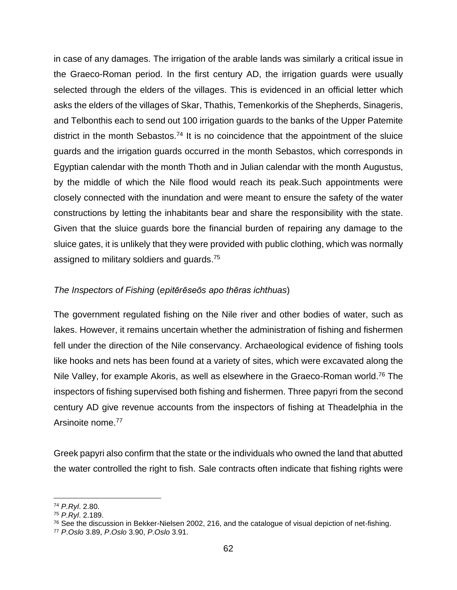in case of any damages. The irrigation of the arable lands was similarly a critical issue in the Graeco-Roman period. In the first century AD, the irrigation guards were usually selected through the elders of the villages. This is evidenced in an official letter which asks the elders of the villages of Skar, Thathis, Temenkorkis of the Shepherds, Sinageris, and Telbonthis each to send out 100 irrigation guards to the banks of the Upper Patemite district in the month Sebastos.<sup>74</sup> It is no coincidence that the appointment of the sluice guards and the irrigation guards occurred in the month Sebastos, which corresponds in Egyptian calendar with the month Thoth and in Julian calendar with the month Augustus, by the middle of which the Nile flood would reach its peak.Such appointments were closely connected with the inundation and were meant to ensure the safety of the water constructions by letting the inhabitants bear and share the responsibility with the state. Given that the sluice guards bore the financial burden of repairing any damage to the sluice gates, it is unlikely that they were provided with public clothing, which was normally assigned to military soldiers and guards.<sup>75</sup>

# *The Inspectors of Fishing* (*epitērēseōs apo thēras ichthuas*)

The government regulated fishing on the Nile river and other bodies of water, such as lakes. However, it remains uncertain whether the administration of fishing and fishermen fell under the direction of the Nile conservancy. Archaeological evidence of fishing tools like hooks and nets has been found at a variety of sites, which were excavated along the Nile Valley, for example Akoris, as well as elsewhere in the Graeco-Roman world.<sup>76</sup> The inspectors of fishing supervised both fishing and fishermen. Three papyri from the second century AD give revenue accounts from the inspectors of fishing at Theadelphia in the Arsinoite nome.<sup>77</sup>

Greek papyri also confirm that the state or the individuals who owned the land that abutted the water controlled the right to fish. Sale contracts often indicate that fishing rights were

<sup>74</sup> *P.Ryl*. 2.80.

<sup>75</sup> *P.Ryl*. 2.189.

 $76$  See the discussion in Bekker-Nielsen 2002, 216, and the catalogue of visual depiction of net-fishing.

<sup>77</sup> *P*.*Oslo* 3.89, *P*.*Oslo* 3.90, *P*.*Oslo* 3.91.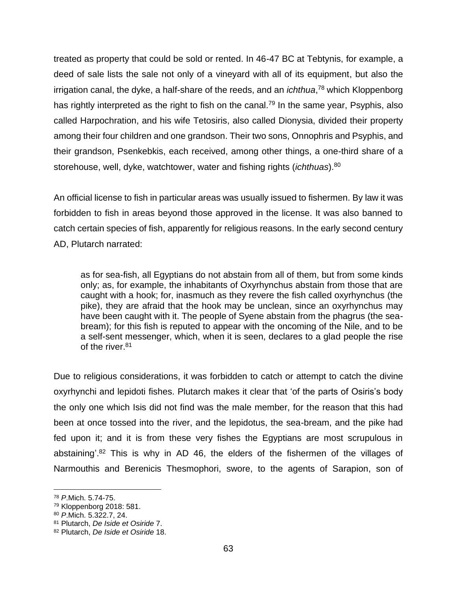treated as property that could be sold or rented. In 46-47 BC at Tebtynis, for example, a deed of sale lists the sale not only of a vineyard with all of its equipment, but also the irrigation canal, the dyke, a half-share of the reeds, and an *ichthua*, <sup>78</sup> which Kloppenborg has rightly interpreted as the right to fish on the canal.<sup>79</sup> In the same year, Psyphis, also called Harpochration, and his wife Tetosiris, also called Dionysia, divided their property among their four children and one grandson. Their two sons, Onnophris and Psyphis, and their grandson, Psenkebkis, each received, among other things, a one-third share of a storehouse, well, dyke, watchtower, water and fishing rights (*ichthuas*).<sup>80</sup>

An official license to fish in particular areas was usually issued to fishermen. By law it was forbidden to fish in areas beyond those approved in the license. It was also banned to catch certain species of fish, apparently for religious reasons. In the early second century AD, Plutarch narrated:

as for sea-fish, all Egyptians do not abstain from all of them, but from some kinds only; as, for example, the inhabitants of Oxyrhynchus abstain from those that are caught with a hook; for, inasmuch as they revere the fish called oxyrhynchus (the pike), they are afraid that the hook may be unclean, since an oxyrhynchus may have been caught with it. The people of Syene abstain from the phagrus (the seabream); for this fish is reputed to appear with the oncoming of the Nile, and to be a self-sent messenger, which, when it is seen, declares to a glad people the rise of the river.<sup>81</sup>

Due to religious considerations, it was forbidden to catch or attempt to catch the divine oxyrhynchi and lepidoti fishes. Plutarch makes it clear that 'of the parts of Osiris's body the only one which Isis did not find was the male member, for the reason that this had been at once tossed into the river, and the lepidotus, the sea-bream, and the pike had fed upon it; and it is from these very fishes the Egyptians are most scrupulous in abstaining'.<sup>82</sup> This is why in AD 46, the elders of the fishermen of the villages of Narmouthis and Berenicis Thesmophori, swore, to the agents of Sarapion, son of

<sup>78</sup> *P*.Mich. 5.74-75.

<sup>79</sup> Kloppenborg 2018: 581.

<sup>80</sup> *P*.Mich. 5.322.7, 24.

<sup>81</sup> Plutarch, *De Iside et Osiride* 7.

<sup>82</sup> Plutarch, *De Iside et Osiride* 18.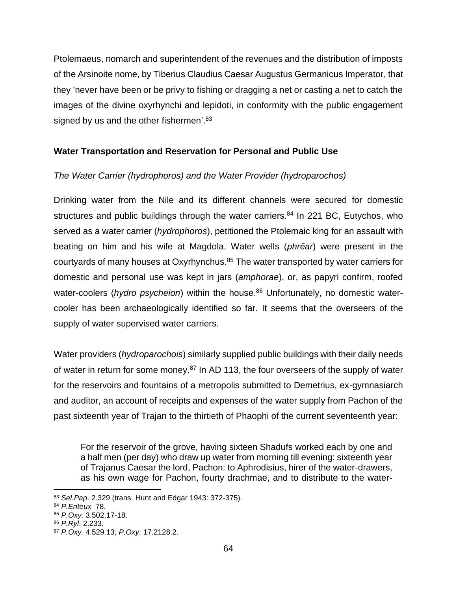Ptolemaeus, nomarch and superintendent of the revenues and the distribution of imposts of the Arsinoite nome, by Tiberius Claudius Caesar Augustus Germanicus Imperator, that they 'never have been or be privy to fishing or dragging a net or casting a net to catch the images of the divine oxyrhynchi and lepidoti, in conformity with the public engagement signed by us and the other fishermen'.<sup>83</sup>

# **Water Transportation and Reservation for Personal and Public Use**

# *The Water Carrier (hydrophoros) and the Water Provider (hydroparochos)*

Drinking water from the Nile and its different channels were secured for domestic structures and public buildings through the water carriers.<sup>84</sup> In 221 BC, Eutychos, who served as a water carrier (*hydrophoros*), petitioned the Ptolemaic king for an assault with beating on him and his wife at Magdola. Water wells (*phrēar*) were present in the courtyards of many houses at Oxyrhynchus.<sup>85</sup> The water transported by water carriers for domestic and personal use was kept in jars (*amphorae*), or, as papyri confirm, roofed water-coolers (*hydro psycheion*) within the house. <sup>86</sup> Unfortunately, no domestic watercooler has been archaeologically identified so far. It seems that the overseers of the supply of water supervised water carriers.

Water providers (*hydroparochois*) similarly supplied public buildings with their daily needs of water in return for some money.<sup>87</sup> In AD 113, the four overseers of the supply of water for the reservoirs and fountains of a metropolis submitted to Demetrius, ex-gymnasiarch and auditor, an account of receipts and expenses of the water supply from Pachon of the past sixteenth year of Trajan to the thirtieth of Phaophi of the current seventeenth year:

For the reservoir of the grove, having sixteen Shadufs worked each by one and a half men (per day) who draw up water from morning till evening: sixteenth year of Trajanus Caesar the lord, Pachon: to Aphrodisius, hirer of the water-drawers, as his own wage for Pachon, fourty drachmae, and to distribute to the water-

<sup>83</sup> *Sel.Pap*. 2.329 (trans. Hunt and Edgar 1943: 372-375).

<sup>84</sup> *P.Enteux* 78.

<sup>85</sup> *P.Oxy.* 3.502.17-18.

<sup>86</sup> *P.Ryl*. 2.233.

<sup>87</sup> *P.Oxy.* 4.529.13; *P.Oxy*. 17.2128.2.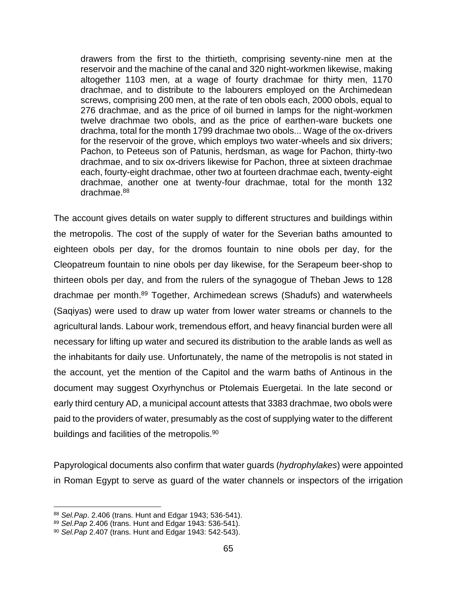drawers from the first to the thirtieth, comprising seventy-nine men at the reservoir and the machine of the canal and 320 night-workmen likewise, making altogether 1103 men, at a wage of fourty drachmae for thirty men, 1170 drachmae, and to distribute to the labourers employed on the Archimedean screws, comprising 200 men, at the rate of ten obols each, 2000 obols, equal to 276 drachmae, and as the price of oil burned in lamps for the night-workmen twelve drachmae two obols, and as the price of earthen-ware buckets one drachma, total for the month 1799 drachmae two obols... Wage of the ox-drivers for the reservoir of the grove, which employs two water-wheels and six drivers; Pachon, to Peteeus son of Patunis, herdsman, as wage for Pachon, thirty-two drachmae, and to six ox-drivers likewise for Pachon, three at sixteen drachmae each, fourty-eight drachmae, other two at fourteen drachmae each, twenty-eight drachmae, another one at twenty-four drachmae, total for the month 132 drachmae.<sup>88</sup>

The account gives details on water supply to different structures and buildings within the metropolis. The cost of the supply of water for the Severian baths amounted to eighteen obols per day, for the dromos fountain to nine obols per day, for the Cleopatreum fountain to nine obols per day likewise, for the Serapeum beer-shop to thirteen obols per day, and from the rulers of the synagogue of Theban Jews to 128 drachmae per month.<sup>89</sup> Together, Archimedean screws (Shadufs) and waterwheels (Saqiyas) were used to draw up water from lower water streams or channels to the agricultural lands. Labour work, tremendous effort, and heavy financial burden were all necessary for lifting up water and secured its distribution to the arable lands as well as the inhabitants for daily use. Unfortunately, the name of the metropolis is not stated in the account, yet the mention of the Capitol and the warm baths of Antinous in the document may suggest Oxyrhynchus or Ptolemais Euergetai. In the late second or early third century AD, a municipal account attests that 3383 drachmae, two obols were paid to the providers of water, presumably as the cost of supplying water to the different buildings and facilities of the metropolis.<sup>90</sup>

Papyrological documents also confirm that water guards (*hydrophylakes*) were appointed in Roman Egypt to serve as guard of the water channels or inspectors of the irrigation

<sup>88</sup> *Sel.Pap*. 2.406 (trans. Hunt and Edgar 1943; 536-541).

<sup>89</sup> *Sel.Pap* 2.406 (trans. Hunt and Edgar 1943: 536-541).

<sup>90</sup> *Sel.Pap* 2.407 (trans. Hunt and Edgar 1943: 542-543).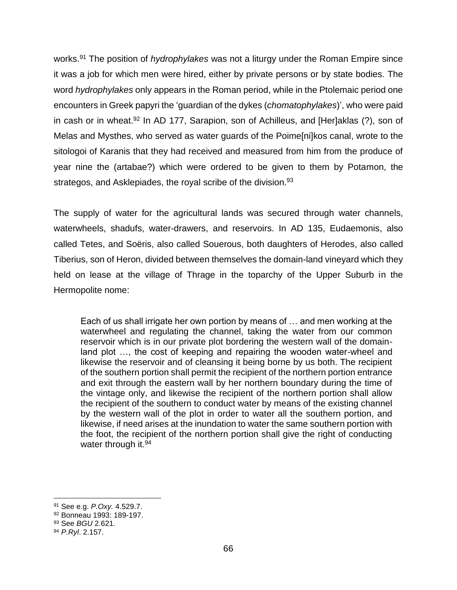works.<sup>91</sup> The position of *hydrophylakes* was not a liturgy under the Roman Empire since it was a job for which men were hired, either by private persons or by state bodies. The word *hydrophylakes* only appears in the Roman period, while in the Ptolemaic period one encounters in Greek papyri the 'guardian of the dykes (*chomatophylakes*)', who were paid in cash or in wheat.<sup>92</sup> In AD 177, Sarapion, son of Achilleus, and [Her]aklas (?), son of Melas and Mysthes, who served as water guards of the Poime[ni]kos canal, wrote to the sitologoi of Karanis that they had received and measured from him from the produce of year nine the (artabae?) which were ordered to be given to them by Potamon, the strategos, and Asklepiades, the royal scribe of the division.<sup>93</sup>

The supply of water for the agricultural lands was secured through water channels, waterwheels, shadufs, water-drawers, and reservoirs. In AD 135, Eudaemonis, also called Tetes, and Soëris, also called Souerous, both daughters of Herodes, also called Tiberius, son of Heron, divided between themselves the domain-land vineyard which they held on lease at the village of Thrage in the toparchy of the Upper Suburb in the Hermopolite nome:

Each of us shall irrigate her own portion by means of … and men working at the waterwheel and regulating the channel, taking the water from our common reservoir which is in our private plot bordering the western wall of the domainland plot …, the cost of keeping and repairing the wooden water-wheel and likewise the reservoir and of cleansing it being borne by us both. The recipient of the southern portion shall permit the recipient of the northern portion entrance and exit through the eastern wall by her northern boundary during the time of the vintage only, and likewise the recipient of the northern portion shall allow the recipient of the southern to conduct water by means of the existing channel by the western wall of the plot in order to water all the southern portion, and likewise, if need arises at the inundation to water the same southern portion with the foot, the recipient of the northern portion shall give the right of conducting water through it.<sup>94</sup>

<sup>91</sup> See e.g. *P.Oxy.* 4.529.7.

<sup>92</sup> Bonneau 1993: 189-197.

<sup>93</sup> See *BGU* 2.621.

<sup>94</sup> *P.Ryl*. 2.157.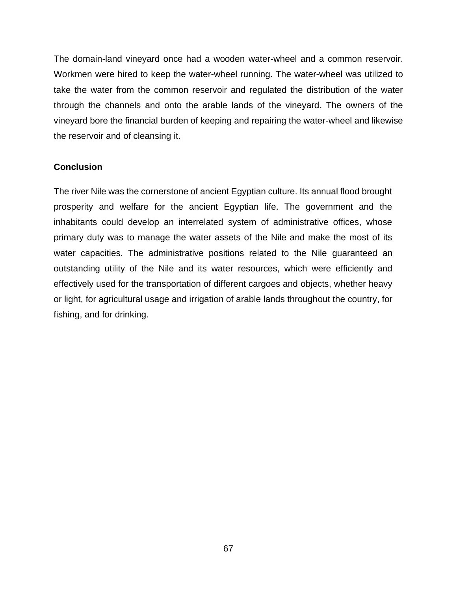The domain-land vineyard once had a wooden water-wheel and a common reservoir. Workmen were hired to keep the water-wheel running. The water-wheel was utilized to take the water from the common reservoir and regulated the distribution of the water through the channels and onto the arable lands of the vineyard. The owners of the vineyard bore the financial burden of keeping and repairing the water-wheel and likewise the reservoir and of cleansing it.

# **Conclusion**

The river Nile was the cornerstone of ancient Egyptian culture. Its annual flood brought prosperity and welfare for the ancient Egyptian life. The government and the inhabitants could develop an interrelated system of administrative offices, whose primary duty was to manage the water assets of the Nile and make the most of its water capacities. The administrative positions related to the Nile guaranteed an outstanding utility of the Nile and its water resources, which were efficiently and effectively used for the transportation of different cargoes and objects, whether heavy or light, for agricultural usage and irrigation of arable lands throughout the country, for fishing, and for drinking.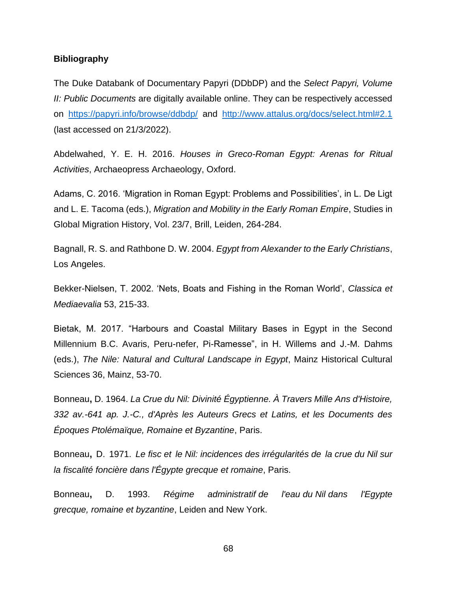#### **Bibliography**

The Duke Databank of Documentary Papyri (DDbDP) and the *Select Papyri, Volume II: Public Documents* are digitally available online. They can be respectively accessed on <https://papyri.info/browse/ddbdp/> and <http://www.attalus.org/docs/select.html#2.1> (last accessed on 21/3/2022).

Abdelwahed, Y. E. H. 2016. *Houses in Greco-Roman Egypt: Arenas for Ritual Activities*, Archaeopress Archaeology, Oxford.

Adams, C. 2016. 'Migration in Roman Egypt: Problems and Possibilities', in L. De Ligt and L. E. Tacoma (eds.), *Migration and Mobility in the Early Roman Empire*, Studies in Global Migration History, Vol. 23/7, Brill, Leiden, 264-284.

Bagnall, R. S. and Rathbone D. W. 2004. *Egypt from Alexander to the Early Christians*, Los Angeles.

Bekker-Nielsen, T. 2002. 'Nets, Boats and Fishing in the Roman World', *Classica et Mediaevalia* 53, 215-33.

Bietak, M. 2017. "Harbours and Coastal Military Bases in Egypt in the Second Millennium B.C. Avaris, Peru-nefer, Pi-Ramesse", in H. Willems and J.-M. Dahms (eds.), *The Nile: Natural and Cultural Landscape in Egypt*, Mainz Historical Cultural Sciences 36, Mainz, 53-70.

Bonneau**,** D. 1964. *La Crue du Nil: Divinité Égyptienne. À Travers Mille Ans d'Histoire, 332 av.-641 ap. J.-C., d'Après les Auteurs Grecs et Latins, et les Documents des Époques Ptolémaïque, Romaine et Byzantine*, Paris.

Bonneau**,** D. 1971. *Le fisc et le Nil: incidences des irrégularités de la crue du Nil sur la fiscalité foncière dans l'Égypte grecque et romaine*, Paris.

Bonneau**,** D. 1993. *Régime administratif de l'eau du Nil dans l'Egypte grecque, romaine et byzantine*, Leiden and New York.

68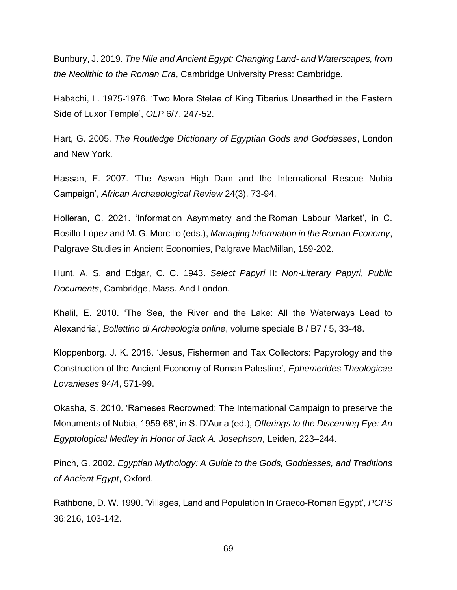Bunbury, J. 2019. *The Nile and Ancient Egypt: Changing Land- and Waterscapes, from the Neolithic to the Roman Era*, Cambridge University Press: Cambridge.

Habachi, L. 1975-1976. 'Two More Stelae of King Tiberius Unearthed in the Eastern Side of Luxor Temple', *OLP* 6/7, 247-52.

Hart, G. 2005. *The Routledge Dictionary of Egyptian Gods and Goddesses*, London and New York.

Hassan, F. 2007. 'The Aswan High Dam and the International Rescue Nubia Campaign', *African Archaeological Review* 24(3), 73-94.

Holleran, C. 2021. 'Information Asymmetry and the Roman Labour Market', in C. Rosillo-López and M. G. Morcillo (eds.), *Managing Information in the Roman Economy*, Palgrave Studies in Ancient Economies, Palgrave MacMillan, 159-202.

Hunt, A. S. and Edgar, C. C. 1943. *Select Papyri* II: *Non-Literary Papyri, Public Documents*, Cambridge, Mass. And London.

Khalil, E. 2010. 'The Sea, the River and the Lake: All the Waterways Lead to Alexandria', *Bollettino di Archeologia online*, volume speciale B / B7 / 5, 33-48.

Kloppenborg. J. K. 2018. 'Jesus, Fishermen and Tax Collectors: Papyrology and the Construction of the Ancient Economy of Roman Palestine', *Ephemerides Theologicae Lovanieses* 94/4, 571-99.

Okasha, S. 2010. 'Rameses Recrowned: The International Campaign to preserve the Monuments of Nubia, 1959-68', in S. D'Auria (ed.), *Offerings to the Discerning Eye: An Egyptological Medley in Honor of Jack A. Josephson*, Leiden, 223–244.

Pinch, G. 2002. *Egyptian Mythology: A Guide to the Gods, Goddesses, and Traditions of Ancient Egypt*, Oxford.

Rathbone, D. W. 1990. 'Villages, Land and Population In Graeco-Roman Egypt', *PCPS* [36:216, 1](https://www.jstor.org/stable/i40196923)03-142.